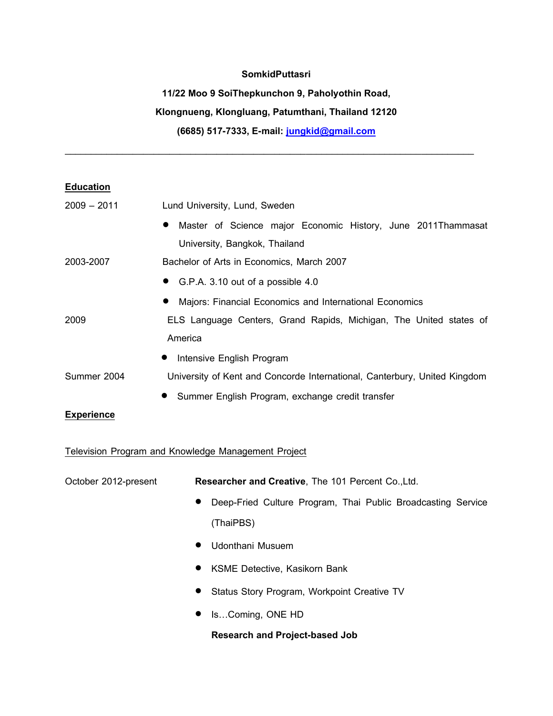### **SomkidPuttasri**

#### **11/22 Moo 9 SoiThepkunchon 9, Paholyothin Road,**

# **Klongnueng, Klongluang, Patumthani, Thailand 12120**

**(6685) 517-7333, E-mail: [jungkid@gmail.com](mailto:jungkid@gmail.com)**

\_\_\_\_\_\_\_\_\_\_\_\_\_\_\_\_\_\_\_\_\_\_\_\_\_\_\_\_\_\_\_\_\_\_\_\_\_\_\_\_\_\_\_\_\_\_\_\_\_\_\_\_\_\_\_\_\_\_\_\_\_\_\_\_\_\_\_\_\_\_\_\_\_\_\_\_\_\_

## **Education**

| $2009 - 2011$ | Lund University, Lund, Sweden                                             |  |
|---------------|---------------------------------------------------------------------------|--|
|               | Master of Science major Economic History, June 2011Thammasat<br>$\bullet$ |  |
|               | University, Bangkok, Thailand                                             |  |
| 2003-2007     | Bachelor of Arts in Economics, March 2007                                 |  |
|               | • G.P.A. 3.10 out of a possible 4.0                                       |  |
|               | Majors: Financial Economics and International Economics<br>$\bullet$      |  |
| 2009          | ELS Language Centers, Grand Rapids, Michigan, The United states of        |  |
|               | America                                                                   |  |
|               | Intensive English Program<br>$\bullet$                                    |  |
| Summer 2004   | University of Kent and Concorde International, Canterbury, United Kingdom |  |
|               | Summer English Program, exchange credit transfer                          |  |

### **Experience**

Television Program and Knowledge Management Project

| October 2012-present | Researcher and Creative, The 101 Percent Co., Ltd.                        |
|----------------------|---------------------------------------------------------------------------|
|                      | Deep-Fried Culture Program, Thai Public Broadcasting Service<br>$\bullet$ |
|                      | (ThaiPBS)                                                                 |
|                      | Udonthani Musuem<br>$\bullet$                                             |
|                      | • KSME Detective, Kasikorn Bank                                           |
|                      | • Status Story Program, Workpoint Creative TV                             |
|                      | IsComing, ONE HD                                                          |

### **Research and Project-based Job**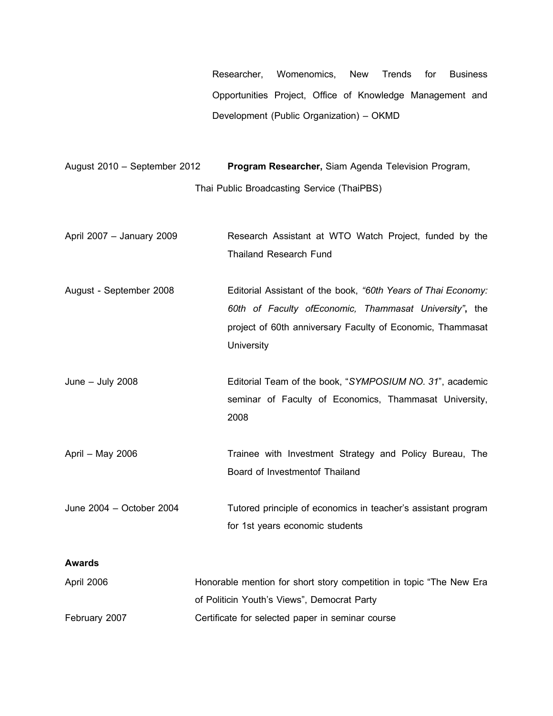Researcher, Womenomics, New Trends for Business Opportunities Project, Office of Knowledge Management and Development (Public Organization) – OKMD

August 2010 – September 2012 **Program Researcher,** Siam Agenda Television Program, Thai Public Broadcasting Service (ThaiPBS)

April 2007 – January 2009 Research Assistant at WTO Watch Project, funded by the Thailand Research Fund

August - September 2008 Editorial Assistant of the book, *"60th Years of Thai Economy: 60th of Faculty ofEconomic, Thammasat University"***,** the project of 60th anniversary Faculty of Economic, Thammasat **University** 

June – July 2008 Editorial Team of the book, "*SYMPOSIUM NO. 31*", academic seminar of Faculty of Economics, Thammasat University, 2008

April – May 2006 **Trainee** with Investment Strategy and Policy Bureau, The Board of Investmentof Thailand

June 2004 – October 2004 Tutored principle of economics in teacher's assistant program for 1st years economic students

### **Awards**

| April 2006    | Honorable mention for short story competition in topic "The New Era" |
|---------------|----------------------------------------------------------------------|
|               | of Politicin Youth's Views", Democrat Party                          |
| February 2007 | Certificate for selected paper in seminar course                     |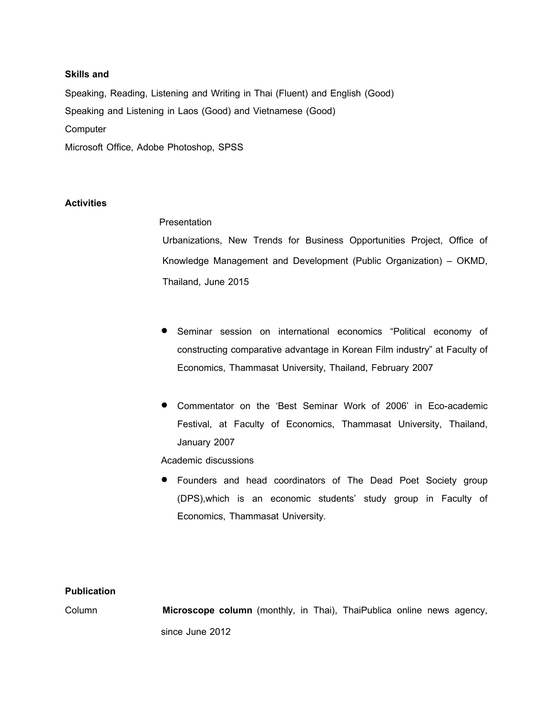#### **Skills and**

Speaking, Reading, Listening and Writing in Thai (Fluent) and English (Good) Speaking and Listening in Laos (Good) and Vietnamese (Good) **Computer** Microsoft Office, Adobe Photoshop, SPSS

### **Activities**

**Presentation** 

Urbanizations, New Trends for Business Opportunities Project, Office of Knowledge Management and Development (Public Organization) – OKMD, Thailand, June 2015

- Seminar session on international economics "Political economy of constructing comparative advantage in Korean Film industry" at Faculty of Economics, Thammasat University, Thailand, February 2007
- Commentator on the 'Best Seminar Work of 2006' in Eco-academic Festival, at Faculty of Economics, Thammasat University, Thailand, January 2007

Academic discussions

 Founders and head coordinators of The Dead Poet Society group (DPS),which is an economic students' study group in Faculty of Economics, Thammasat University.

#### **Publication**

Column **Microscope column** (monthly, in Thai), ThaiPublica online news agency, since June 2012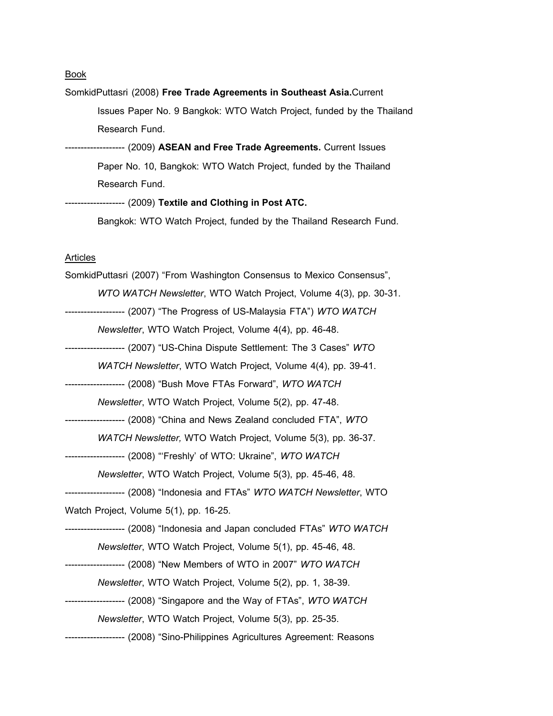**Book** 

SomkidPuttasri (2008) **Free Trade Agreements in Southeast Asia.**Current Issues Paper No. 9 Bangkok: WTO Watch Project, funded by the Thailand Research Fund. ------------------- (2009) **ASEAN and Free Trade Agreements.** Current Issues Paper No. 10, Bangkok: WTO Watch Project, funded by the Thailand Research Fund.

------------------- (2009) **Textile and Clothing in Post ATC.** Bangkok: WTO Watch Project, funded by the Thailand Research Fund.

#### **Articles**

| SomkidPuttasri (2007) "From Washington Consensus to Mexico Consensus",            |
|-----------------------------------------------------------------------------------|
| WTO WATCH Newsletter, WTO Watch Project, Volume 4(3), pp. 30-31.                  |
| ------------------- (2007) "The Progress of US-Malaysia FTA") WTO WATCH           |
| Newsletter, WTO Watch Project, Volume 4(4), pp. 46-48.                            |
| ------------------- (2007) "US-China Dispute Settlement: The 3 Cases" WTO         |
| WATCH Newsletter, WTO Watch Project, Volume 4(4), pp. 39-41.                      |
| ------------------- (2008) "Bush Move FTAs Forward", <i>WTO WATCH</i>             |
| Newsletter, WTO Watch Project, Volume 5(2), pp. 47-48.                            |
| ------------------- (2008) "China and News Zealand concluded FTA", <i>WTO</i>     |
| WATCH Newsletter, WTO Watch Project, Volume 5(3), pp. 36-37.                      |
| ------------------- (2008) "Freshly' of WTO: Ukraine", WTO WATCH                  |
| Newsletter, WTO Watch Project, Volume 5(3), pp. 45-46, 48.                        |
| ------------------- (2008) "Indonesia and FTAs" <i>WTO WATCH Newsletter</i> , WTO |
| Watch Project, Volume 5(1), pp. 16-25.                                            |
| ------------------- (2008) "Indonesia and Japan concluded FTAs" WTO WATCH         |
| Newsletter, WTO Watch Project, Volume 5(1), pp. 45-46, 48.                        |
| ------------------- (2008) "New Members of WTO in 2007" <i>WTO WATCH</i>          |
| Newsletter, WTO Watch Project, Volume 5(2), pp. 1, 38-39.                         |
| ------------------- (2008) "Singapore and the Way of FTAs", WTO WATCH             |
| Newsletter, WTO Watch Project, Volume 5(3), pp. 25-35.                            |
| ------------------- (2008) "Sino-Philippines Agricultures Agreement: Reasons      |